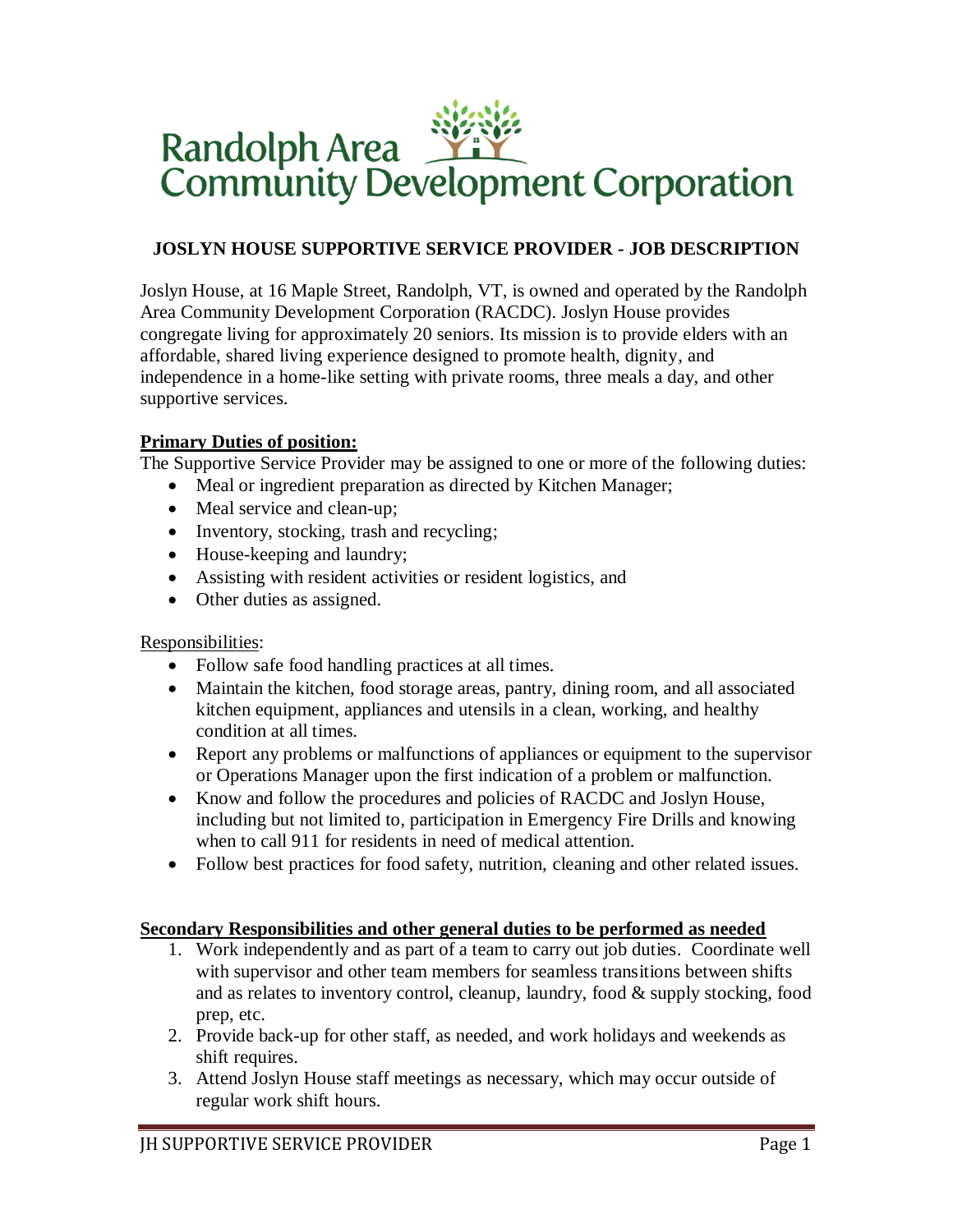# Randolph Area **WAY:**<br>Community Development Corporation

# **JOSLYN HOUSE SUPPORTIVE SERVICE PROVIDER - JOB DESCRIPTION**

Joslyn House, at 16 Maple Street, Randolph, VT, is owned and operated by the Randolph Area Community Development Corporation (RACDC). Joslyn House provides congregate living for approximately 20 seniors. Its mission is to provide elders with an affordable, shared living experience designed to promote health, dignity, and independence in a home-like setting with private rooms, three meals a day, and other supportive services.

### **Primary Duties of position:**

The Supportive Service Provider may be assigned to one or more of the following duties:

- Meal or ingredient preparation as directed by Kitchen Manager;
- Meal service and clean-up;
- Inventory, stocking, trash and recycling;
- House-keeping and laundry;
- Assisting with resident activities or resident logistics, and
- Other duties as assigned.

# Responsibilities:

- Follow safe food handling practices at all times.
- Maintain the kitchen, food storage areas, pantry, dining room, and all associated kitchen equipment, appliances and utensils in a clean, working, and healthy condition at all times.
- Report any problems or malfunctions of appliances or equipment to the supervisor or Operations Manager upon the first indication of a problem or malfunction.
- Know and follow the procedures and policies of RACDC and Joslyn House, including but not limited to, participation in Emergency Fire Drills and knowing when to call 911 for residents in need of medical attention.
- Follow best practices for food safety, nutrition, cleaning and other related issues.

# **Secondary Responsibilities and other general duties to be performed as needed**

- 1. Work independently and as part of a team to carry out job duties. Coordinate well with supervisor and other team members for seamless transitions between shifts and as relates to inventory control, cleanup, laundry, food & supply stocking, food prep, etc.
- 2. Provide back-up for other staff, as needed, and work holidays and weekends as shift requires.
- 3. Attend Joslyn House staff meetings as necessary, which may occur outside of regular work shift hours.